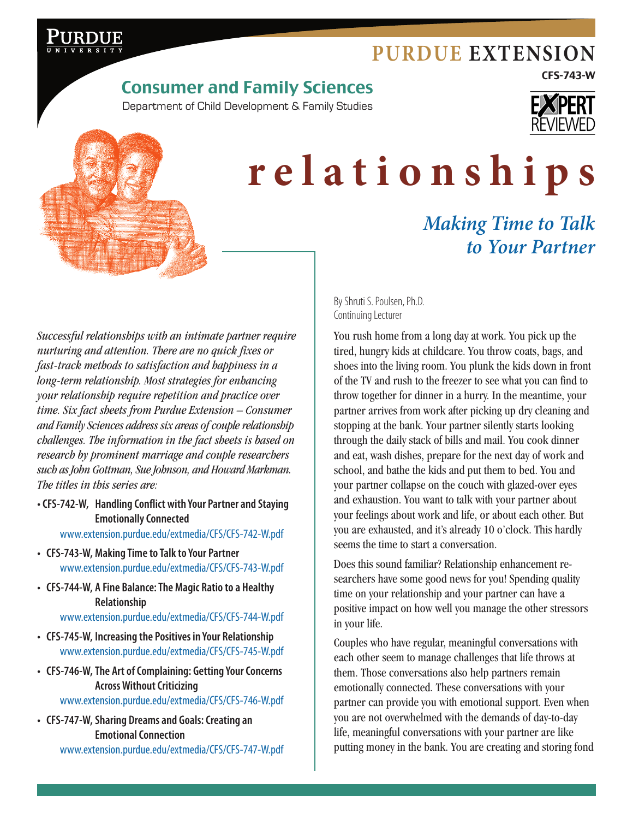# **[Purdue Extension](http://www.extension.purdue.edu)**

CFS-743-W

# Consumer and Family Sciences

Department of Child Development & Family Studies





# **relationships**

# *Making Time to Talk to Your Partner*

*Successful relationships with an intimate partner require nurturing and attention. There are no quick fixes or fast-track methods to satisfaction and happiness in a long-term relationship. Most strategies for enhancing your relationship require repetition and practice over time. Six fact sheets from Purdue Extension – Consumer and Family Sciences address six areas of couple relationship challenges. The information in the fact sheets is based on research by prominent marriage and couple researchers such as John Gottman, Sue Johnson, and Howard Markman. The titles in this series are:*

**• CFS-742-W, Handling Conflict with Your Partner and Staying Emotionally Connected**

[www.extension.purdue.edu/extmedia/CFS/CFS-742-W.pdf](http://www.extension.purdue.edu/extmedia/CFS/CFS-742-W.pdf)

- **• CFS-743-W, Making Time to Talk to Your Partner** [www.extension.purdue.edu/extmedia/CFS/CFS-743-W.pdf](http://www.extension.purdue.edu/extmedia/CFS/CFS-743-W.pdf)
- **• CFS-744-W, A Fine Balance: The Magic Ratio to a Healthy Relationship**

[www.extension.purdue.edu/extmedia/CFS/CFS-744-W.pdf](http://www.extension.purdue.edu/extmedia/CFS/CFS-744-W.pdf)

- **• CFS-745-W, Increasing the Positives in Your Relationship** [www.extension.purdue.edu/extmedia/CFS/CFS-745-W.pdf](http://www.extension.purdue.edu/extmedia/CFS/CFS-745-W.pdf)
- **• CFS-746-W,The Art of Complaining: Getting Your Concerns Across Without Criticizing**

[www.extension.purdue.edu/extmedia/CFS/CFS-746-W.pdf](http://www.extension.purdue.edu/extmedia/CFS/CFS-746-W.pdf)

**• CFS-747-W, Sharing Dreams and Goals: Creating an Emotional Connection** [www.extension.purdue.edu/extmedia/CFS/CFS-747-W.pdf](http://www.extension.purdue.edu/extmedia/CFS/CFS-747-W.pdf) By Shruti S. Poulsen, Ph.D. Continuing Lecturer

You rush home from a long day at work. You pick up the tired, hungry kids at childcare. You throw coats, bags, and shoes into the living room. You plunk the kids down in front of the TV and rush to the freezer to see what you can find to throw together for dinner in a hurry. In the meantime, your partner arrives from work after picking up dry cleaning and stopping at the bank. Your partner silently starts looking through the daily stack of bills and mail. You cook dinner and eat, wash dishes, prepare for the next day of work and school, and bathe the kids and put them to bed. You and your partner collapse on the couch with glazed-over eyes and exhaustion. You want to talk with your partner about your feelings about work and life, or about each other. But you are exhausted, and it's already 10 o'clock. This hardly seems the time to start a conversation.

Does this sound familiar? Relationship enhancement researchers have some good news for you! Spending quality time on your relationship and your partner can have a positive impact on how well you manage the other stressors in your life.

Couples who have regular, meaningful conversations with each other seem to manage challenges that life throws at them. Those conversations also help partners remain emotionally connected. These conversations with your partner can provide you with emotional support. Even when you are not overwhelmed with the demands of day-to-day life, meaningful conversations with your partner are like putting money in the bank. You are creating and storing fond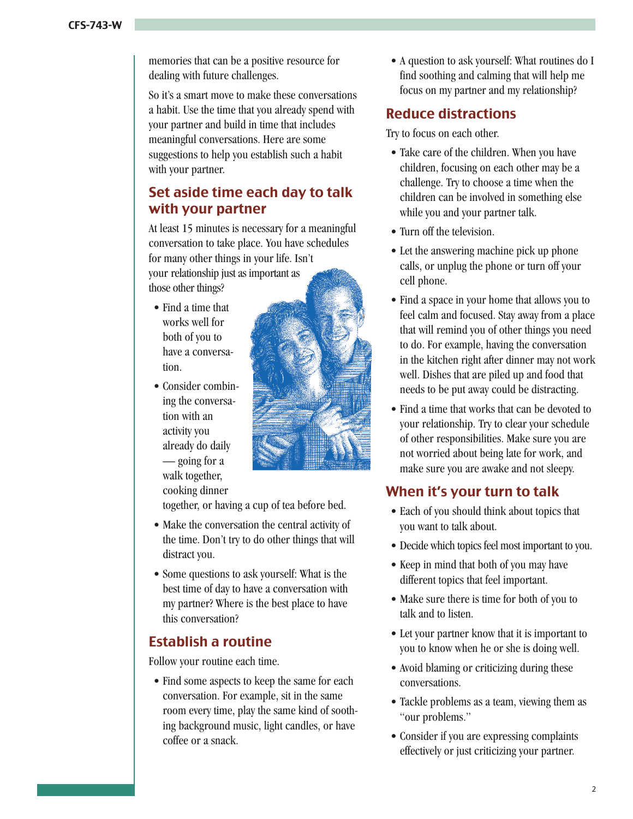memories that can be a positive resource for dealing with future challenges.

So it's a smart move to make these conversations a habit. Use the time that you already spend with your partner and build in time that includes meaningful conversations. Here are some suggestions to help you establish such a habit with your partner.

#### Set aside time each day to talk with your partner

At least 15 minutes is necessary for a meaningful conversation to take place. You have schedules for many other things in your life. Isn't your relationship just as important as those other things?

- Find a time that works well for both of you to have a conversation.
- Consider combining the conversation with an activity you already do daily — going for a walk together, cooking dinner



together, or having a cup of tea before bed.

- • Make the conversation the central activity of the time. Don't try to do other things that will distract you.
- • Some questions to ask yourself: What is the best time of day to have a conversation with my partner? Where is the best place to have this conversation?

### Establish a routine

Follow your routine each time.

• Find some aspects to keep the same for each conversation. For example, sit in the same room every time, play the same kind of soothing background music, light candles, or have coffee or a snack.

• A question to ask yourself: What routines do I find soothing and calming that will help me focus on my partner and my relationship?

#### Reduce distractions

Try to focus on each other.

- Take care of the children. When you have children, focusing on each other may be a challenge. Try to choose a time when the children can be involved in something else while you and your partner talk.
- Turn off the television.
- Let the answering machine pick up phone calls, or unplug the phone or turn off your cell phone.
- Find a space in your home that allows you to feel calm and focused. Stay away from a place that will remind you of other things you need to do. For example, having the conversation in the kitchen right after dinner may not work well. Dishes that are piled up and food that needs to be put away could be distracting.
- Find a time that works that can be devoted to your relationship. Try to clear your schedule of other responsibilities. Make sure you are not worried about being late for work, and make sure you are awake and not sleepy.

# When it's your turn to talk

- Each of you should think about topics that you want to talk about.
- Decide which topics feel most important to you.
- Keep in mind that both of you may have different topics that feel important.
- Make sure there is time for both of you to talk and to listen.
- Let your partner know that it is important to you to know when he or she is doing well.
- Avoid blaming or criticizing during these conversations.
- Tackle problems as a team, viewing them as "our problems."
- Consider if you are expressing complaints effectively or just criticizing your partner.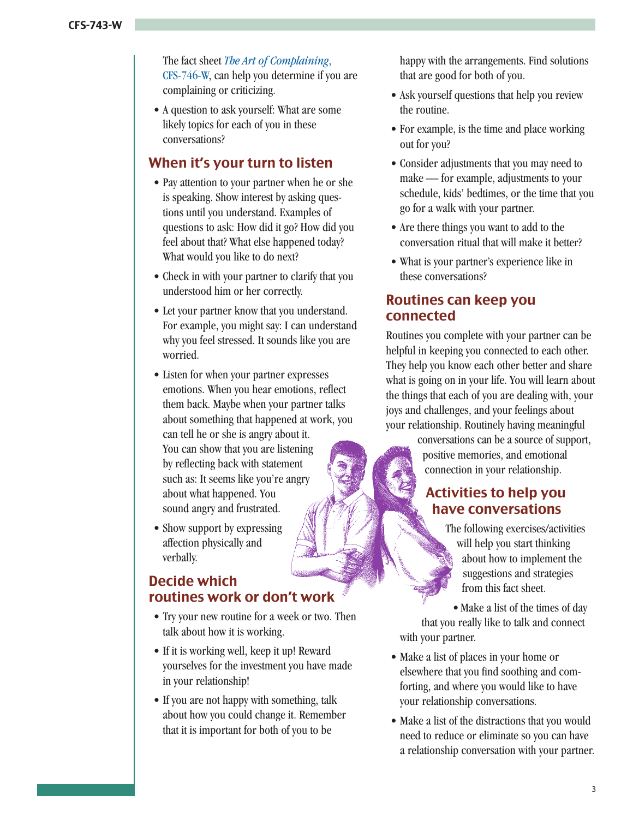The fact sheet *The Art of Complaining*, CFS-746-W[, can help you determine if you](http://www.extension.purdue.edu/extmedia/CFS/CFS-746-W.pdf) are complaining or criticizing.

• A question to ask yourself: What are some likely topics for each of you in these conversations?

#### When it's your turn to listen

- Pay attention to your partner when he or she is speaking. Show interest by asking questions until you understand. Examples of questions to ask: How did it go? How did you feel about that? What else happened today? What would you like to do next?
- Check in with your partner to clarify that you understood him or her correctly.
- Let your partner know that you understand. For example, you might say: I can understand why you feel stressed. It sounds like you are worried.
- • Listen for when your partner expresses emotions. When you hear emotions, reflect them back. Maybe when your partner talks about something that happened at work, you can tell he or she is angry about it. You can show that you are listening by reflecting back with statement such as: It seems like you're angry about what happened. You sound angry and frustrated.
- Show support by expressing affection physically and verbally.

#### Decide which routines work or don't work

- Try your new routine for a week or two. Then talk about how it is working.
- If it is working well, keep it up! Reward yourselves for the investment you have made in your relationship!
- If you are not happy with something, talk about how you could change it. Remember that it is important for both of you to be

happy with the arrangements. Find solutions that are good for both of you.

- Ask yourself questions that help you review the routine.
- For example, is the time and place working out for you?
- Consider adjustments that you may need to make — for example, adjustments to your schedule, kids' bedtimes, or the time that you go for a walk with your partner.
- Are there things you want to add to the conversation ritual that will make it better?
- What is your partner's experience like in these conversations?

#### Routines can keep you connected

Routines you complete with your partner can be helpful in keeping you connected to each other. They help you know each other better and share what is going on in your life. You will learn about the things that each of you are dealing with, your joys and challenges, and your feelings about your relationship. Routinely having meaningful

> conversations can be a source of support, positive memories, and emotional connection in your relationship.

## Activities to help you have conversations

The following exercises/activities will help you start thinking about how to implement the suggestions and strategies from this fact sheet.

• Make a list of the times of day that you really like to talk and connect with your partner.

- Make a list of places in your home or elsewhere that you find soothing and comforting, and where you would like to have your relationship conversations.
- Make a list of the distractions that you would need to reduce or eliminate so you can have a relationship conversation with your partner.